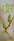